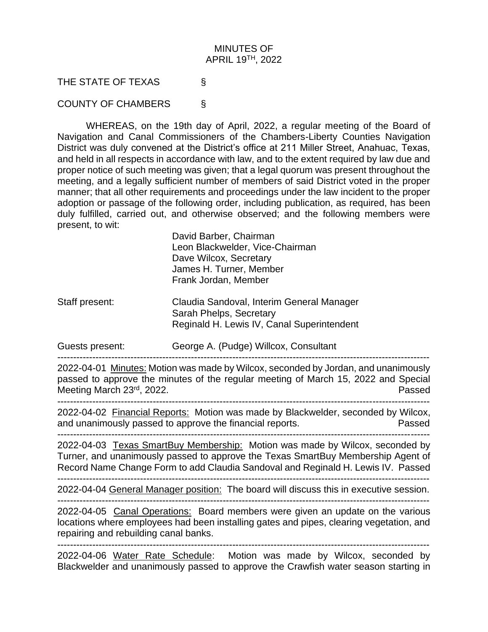## MINUTES OF APRIL 19 TH, 2022

THE STATE OF TEXAS §

COUNTY OF CHAMBERS §

WHEREAS, on the 19th day of April, 2022, a regular meeting of the Board of Navigation and Canal Commissioners of the Chambers-Liberty Counties Navigation District was duly convened at the District's office at 211 Miller Street, Anahuac, Texas, and held in all respects in accordance with law, and to the extent required by law due and proper notice of such meeting was given; that a legal quorum was present throughout the meeting, and a legally sufficient number of members of said District voted in the proper manner; that all other requirements and proceedings under the law incident to the proper adoption or passage of the following order, including publication, as required, has been duly fulfilled, carried out, and otherwise observed; and the following members were present, to wit:

> David Barber, Chairman Leon Blackwelder, Vice-Chairman Dave Wilcox, Secretary James H. Turner, Member Frank Jordan, Member

Staff present: Claudia Sandoval, Interim General Manager Sarah Phelps, Secretary Reginald H. Lewis IV, Canal Superintendent

Guests present: George A. (Pudge) Willcox, Consultant

2022-04-01 Minutes: Motion was made by Wilcox, seconded by Jordan, and unanimously passed to approve the minutes of the regular meeting of March 15, 2022 and Special Meeting March 23<sup>rd</sup>, 2022.

---------------------------------------------------------------------------------------------------------------------

---------------------------------------------------------------------------------------------------------------------

2022-04-02 Financial Reports: Motion was made by Blackwelder, seconded by Wilcox, and unanimously passed to approve the financial reports. Passed

--------------------------------------------------------------------------------------------------------------------- 2022-04-03 Texas SmartBuy Membership: Motion was made by Wilcox, seconded by

Turner, and unanimously passed to approve the Texas SmartBuy Membership Agent of Record Name Change Form to add Claudia Sandoval and Reginald H. Lewis IV. Passed ---------------------------------------------------------------------------------------------------------------------

2022-04-04 General Manager position: The board will discuss this in executive session.

---------------------------------------------------------------------------------------------------------------------

2022-04-05 Canal Operations: Board members were given an update on the various locations where employees had been installing gates and pipes, clearing vegetation, and repairing and rebuilding canal banks.

---------------------------------------------------------------------------------------------------------------------

2022-04-06 Water Rate Schedule: Motion was made by Wilcox, seconded by Blackwelder and unanimously passed to approve the Crawfish water season starting in